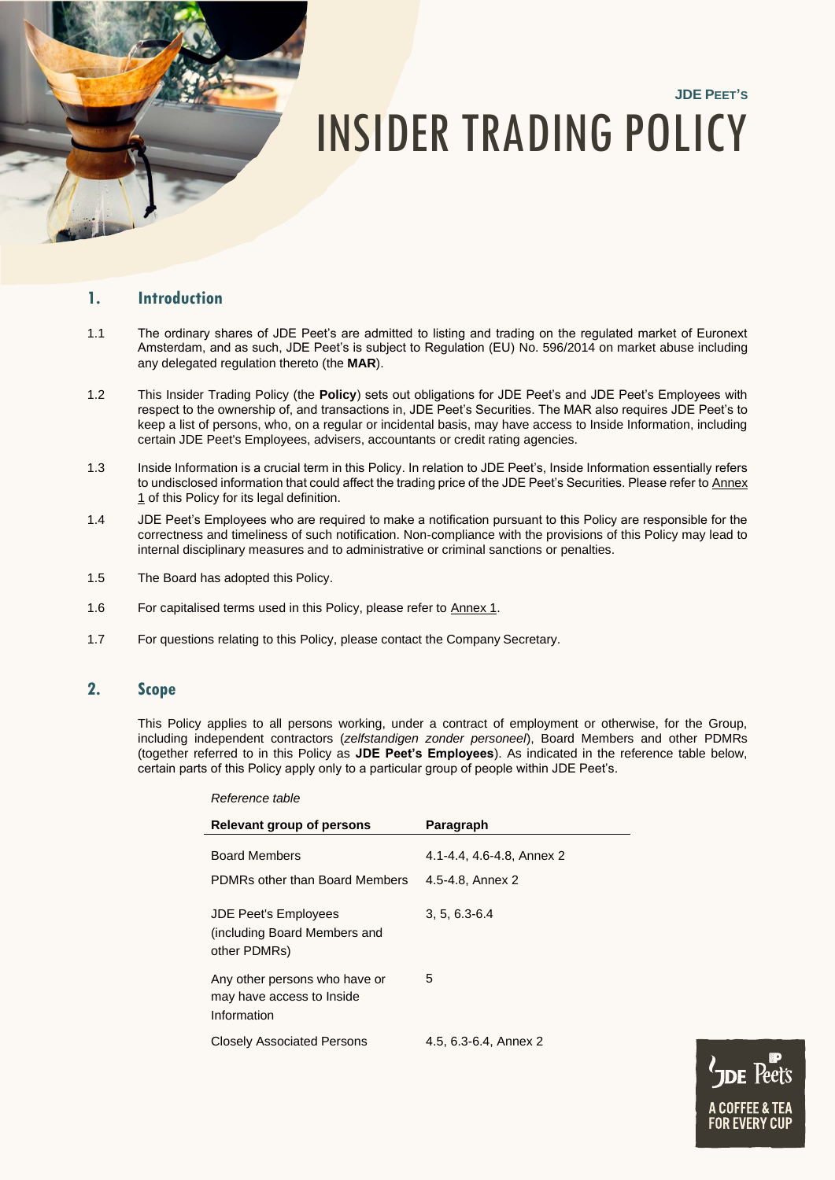# **JDE PEET'S** INSIDER TRADING POLICY

# **1. Introduction**

- 1.1 The ordinary shares of JDE Peet's are admitted to listing and trading on the regulated market of Euronext Amsterdam, and as such, JDE Peet's is subject to Regulation (EU) No. 596/2014 on market abuse including any delegated regulation thereto (the **MAR**).
- 1.2 This Insider Trading Policy (the **Policy**) sets out obligations for JDE Peet's and JDE Peet's Employees with respect to the ownership of, and transactions in, JDE Peet's Securities. The MAR also requires JDE Peet's to keep a list of persons, who, on a regular or incidental basis, may have access to Inside Information, including certain JDE Peet's Employees, advisers, accountants or credit rating agencies.
- 1.3 Inside Information is a crucial term in this Policy. In relation to JDE Peet's, Inside Information essentially refers to undisclosed information that could affect the trading price of the JDE Peet's Securities. Please refer to Annex 1 of this Policy for its legal definition.
- 1.4 JDE Peet's Employees who are required to make a notification pursuant to this Policy are responsible for the correctness and timeliness of such notification. Non-compliance with the provisions of this Policy may lead to internal disciplinary measures and to administrative or criminal sanctions or penalties.
- 1.5 The Board has adopted this Policy.
- 1.6 For capitalised terms used in this Policy, please refer to Annex 1.

*Reference table*

1.7 For questions relating to this Policy, please contact the Company Secretary.

# **2. Scope**

This Policy applies to all persons working, under a contract of employment or otherwise, for the Group, including independent contractors (*zelfstandigen zonder personeel*), Board Members and other PDMRs (together referred to in this Policy as **JDE Peet's Employees**). As indicated in the reference table below, certain parts of this Policy apply only to a particular group of people within JDE Peet's.

| nciercine laure                                                             |                                               |
|-----------------------------------------------------------------------------|-----------------------------------------------|
| Relevant group of persons                                                   | Paragraph                                     |
| <b>Board Members</b><br>PDMRs other than Board Members                      | 4.1-4.4, 4.6-4.8, Annex 2<br>4.5-4.8, Annex 2 |
| <b>JDE Peet's Employees</b><br>(including Board Members and<br>other PDMRs) | $3, 5, 6.3 - 6.4$                             |
| Any other persons who have or<br>may have access to Inside<br>Information   | 5                                             |
| <b>Closely Associated Persons</b>                                           | 4.5, 6.3-6.4, Annex 2                         |

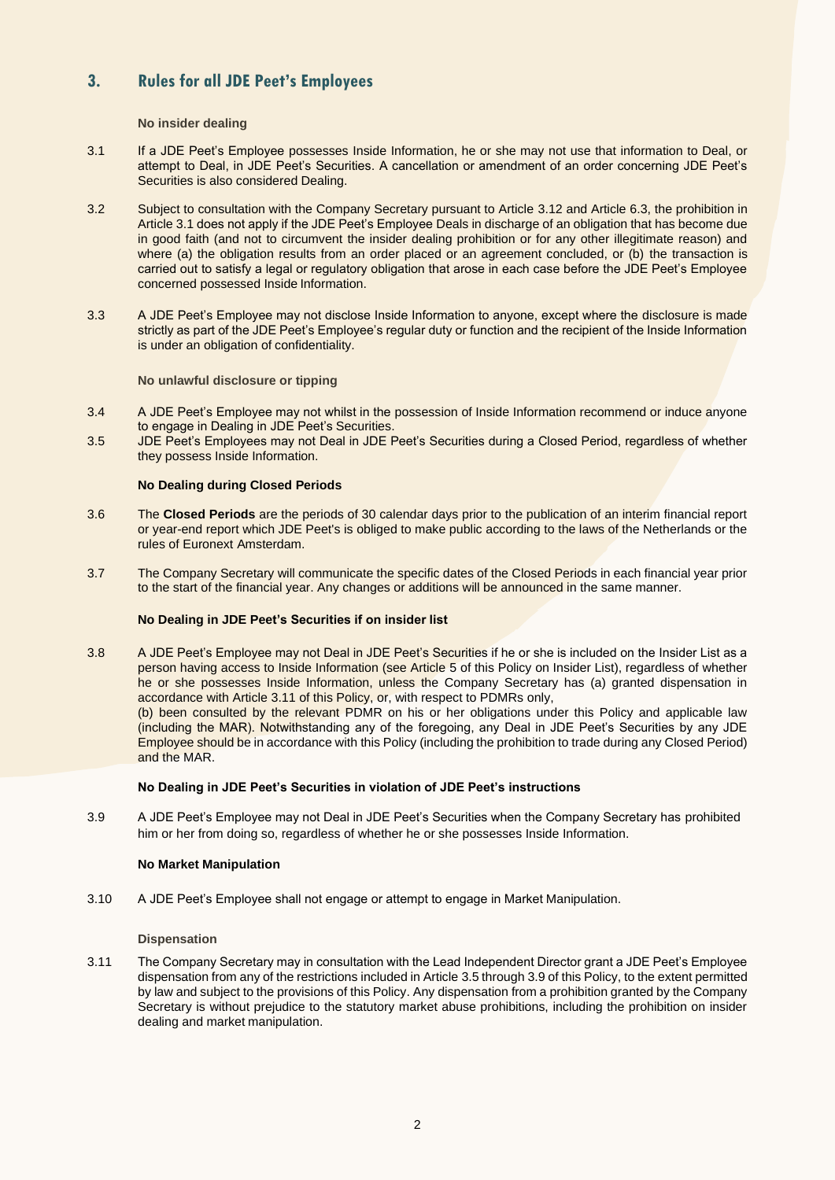# **3. Rules for all JDE Peet's Employees**

## **No insider dealing**

- 3.1 If a JDE Peet's Employee possesses Inside Information, he or she may not use that information to Deal, or attempt to Deal, in JDE Peet's Securities. A cancellation or amendment of an order concerning JDE Peet's Securities is also considered Dealing.
- 3.2 Subject to consultation with the Company Secretary pursuant to Article [3.12](#page-2-0) and Article 6.3, the prohibition in Article 3.1 does not apply if the JDE Peet's Employee Deals in discharge of an obligation that has become due in good faith (and not to circumvent the insider dealing prohibition or for any other illegitimate reason) and where (a) the obligation results from an order placed or an agreement concluded, or (b) the transaction is carried out to satisfy a legal or regulatory obligation that arose in each case before the JDE Peet's Employee concerned possessed Inside Information.
- 3.3 A JDE Peet's Employee may not disclose Inside Information to anyone, except where the disclosure is made strictly as part of the JDE Peet's Employee's regular duty or function and the recipient of the Inside Information is under an obligation of confidentiality.

#### **No unlawful disclosure or tipping**

- 3.4 A JDE Peet's Employee may not whilst in the possession of Inside Information recommend or induce anyone to engage in Dealing in JDE Peet's Securities.
- 3.5 JDE Peet's Employees may not Deal in JDE Peet's Securities during a Closed Period, regardless of whether they possess Inside Information.

#### **No Dealing during Closed Periods**

- 3.6 The **Closed Periods** are the periods of 30 calendar days prior to the publication of an interim financial report or year-end report which JDE Peet's is obliged to make public according to the laws of the Netherlands or the rules of Euronext Amsterdam.
- 3.7 The Company Secretary will communicate the specific dates of the Closed Periods in each financial year prior to the start of the financial year. Any changes or additions will be announced in the same manner.

## **No Dealing in JDE Peet's Securities if on insider list**

3.8 A JDE Peet's Employee may not Deal in JDE Peet's Securities if he or she is included on the Insider List as a person having access to Inside Information (see Article 5 of this Policy on Insider List), regardless of whether he or she possesses Inside Information, unless the Company Secretary has (a) granted dispensation in accordance with Article [3.11 o](#page-1-0)f this Policy, or, with respect to PDMRs only,

(b) been consulted by the relevant PDMR on his or her obligations under this Policy and applicable law (including the MAR). Notwithstanding any of the foregoing, any Deal in JDE Peet's Securities by any JDE Employee should be in accordance with this Policy (including the prohibition to trade during any Closed Period) and the MAR.

#### **No Dealing in JDE Peet's Securities in violation of JDE Peet's instructions**

3.9 A JDE Peet's Employee may not Deal in JDE Peet's Securities when the Company Secretary has prohibited him or her from doing so, regardless of whether he or she possesses Inside Information.

#### **No Market Manipulation**

3.10 A JDE Peet's Employee shall not engage or attempt to engage in Market Manipulation.

#### **Dispensation**

<span id="page-1-0"></span>3.11 The Company Secretary may in consultation with the Lead Independent Director grant a JDE Peet's Employee dispensation from any of the restrictions included in Article 3.5 through 3.9 of this Policy, to the extent permitted by law and subject to the provisions of this Policy. Any dispensation from a prohibition granted by the Company Secretary is without prejudice to the statutory market abuse prohibitions, including the prohibition on insider dealing and market manipulation.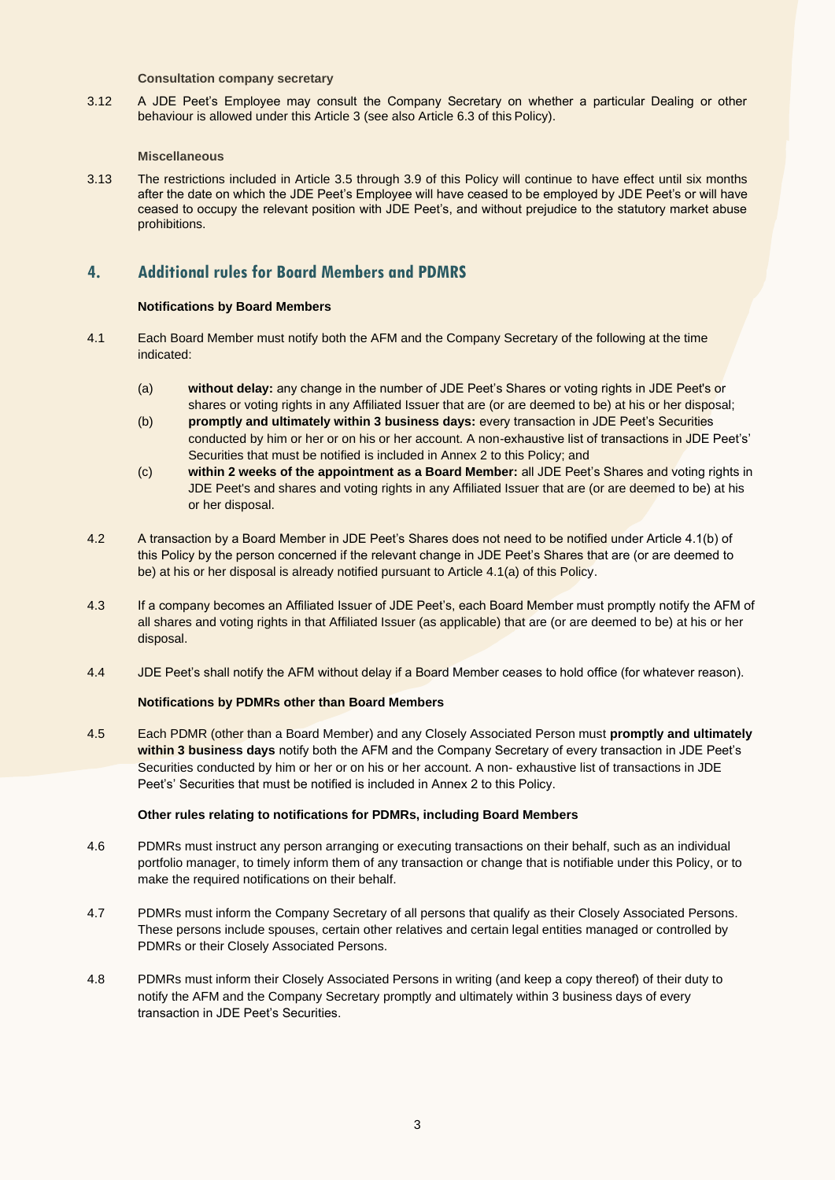#### **Consultation company secretary**

<span id="page-2-0"></span>3.12 A JDE Peet's Employee may consult the Company Secretary on whether a particular Dealing or other behaviour is allowed under this Article 3 (see also Article 6.3 of this Policy).

#### **Miscellaneous**

3.13 The restrictions included in Article 3.5 through 3.9 of this Policy will continue to have effect until six months after the date on which the JDE Peet's Employee will have ceased to be employed by JDE Peet's or will have ceased to occupy the relevant position with JDE Peet's, and without prejudice to the statutory market abuse prohibitions.

# **4. Additional rules for Board Members and PDMRS**

## **Notifications by Board Members**

- 4.1 Each Board Member must notify both the AFM and the Company Secretary of the following at the time indicated:
	- (a) **without delay:** any change in the number of JDE Peet's Shares or voting rights in JDE Peet's or shares or voting rights in any Affiliated Issuer that are (or are deemed to be) at his or her disposal;
	- (b) **promptly and ultimately within 3 business days:** every transaction in JDE Peet's Securities conducted by him or her or on his or her account. A non-exhaustive list of transactions in JDE Peet's' Securities that must be notified is included in Annex 2 to this Policy; and
	- (c) **within 2 weeks of the appointment as a Board Member:** all JDE Peet's Shares and voting rights in JDE Peet's and shares and voting rights in any Affiliated Issuer that are (or are deemed to be) at his or her disposal.
- 4.2 A transaction by a Board Member in JDE Peet's Shares does not need to be notified under Article 4.1(b) of this Policy by the person concerned if the relevant change in JDE Peet's Shares that are (or are deemed to be) at his or her disposal is already notified pursuant to Article 4.1(a) of this Policy.
- 4.3 If a company becomes an Affiliated Issuer of JDE Peet's, each Board Member must promptly notify the AFM of all shares and voting rights in that Affiliated Issuer (as applicable) that are (or are deemed to be) at his or her disposal.
- 4.4 JDE Peet's shall notify the AFM without delay if a Board Member ceases to hold office (for whatever reason).

## **Notifications by PDMRs other than Board Members**

4.5 Each PDMR (other than a Board Member) and any Closely Associated Person must **promptly and ultimately within 3 business days** notify both the AFM and the Company Secretary of every transaction in JDE Peet's Securities conducted by him or her or on his or her account. A non- exhaustive list of transactions in JDE Peet's' Securities that must be notified is included in Annex 2 to this Policy.

#### **Other rules relating to notifications for PDMRs, including Board Members**

- 4.6 PDMRs must instruct any person arranging or executing transactions on their behalf, such as an individual portfolio manager, to timely inform them of any transaction or change that is notifiable under this Policy, or to make the required notifications on their behalf.
- 4.7 PDMRs must inform the Company Secretary of all persons that qualify as their Closely Associated Persons. These persons include spouses, certain other relatives and certain legal entities managed or controlled by PDMRs or their Closely Associated Persons.
- 4.8 PDMRs must inform their Closely Associated Persons in writing (and keep a copy thereof) of their duty to notify the AFM and the Company Secretary promptly and ultimately within 3 business days of every transaction in JDE Peet's Securities.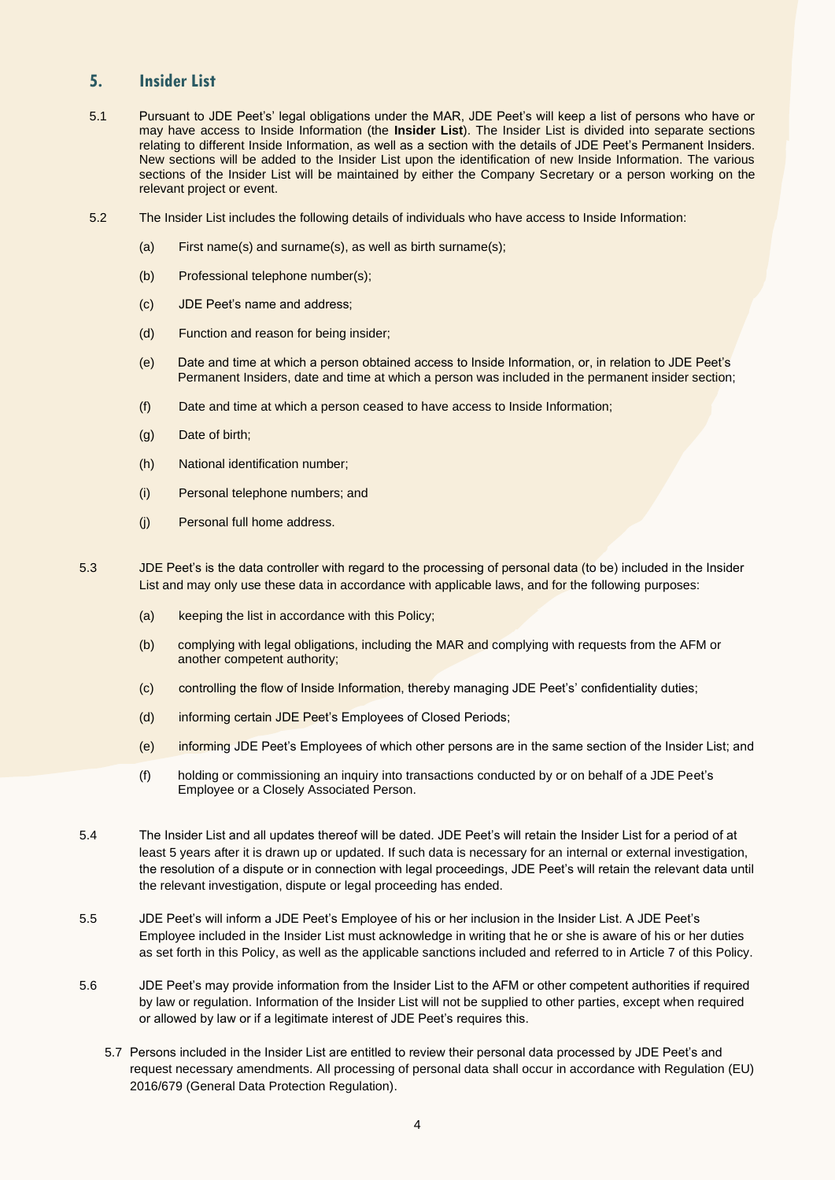# **5. Insider List**

- 5.1 Pursuant to JDE Peet's' legal obligations under the MAR, JDE Peet's will keep a list of persons who have or may have access to Inside Information (the **Insider List**). The Insider List is divided into separate sections relating to different Inside Information, as well as a section with the details of JDE Peet's Permanent Insiders. New sections will be added to the Insider List upon the identification of new Inside Information. The various sections of the Insider List will be maintained by either the Company Secretary or a person working on the relevant project or event.
- 5.2 The Insider List includes the following details of individuals who have access to Inside Information:
	- (a) First name(s) and surname(s), as well as birth surname(s);
	- (b) Professional telephone number(s);
	- (c) JDE Peet's name and address;
	- (d) Function and reason for being insider;
	- (e) Date and time at which a person obtained access to Inside Information, or, in relation to JDE Peet's Permanent Insiders, date and time at which a person was included in the permanent insider section;
	- (f) Date and time at which a person ceased to have access to Inside Information;
	- (g) Date of birth;
	- (h) National identification number;
	- (i) Personal telephone numbers; and
	- (j) Personal full home address.
- 5.3 JDE Peet's is the data controller with regard to the processing of personal data (to be) included in the Insider List and may only use these data in accordance with applicable laws, and for the following purposes:
	- (a) keeping the list in accordance with this Policy;
	- (b) complying with legal obligations, including the MAR and complying with requests from the AFM or another competent authority;
	- (c) controlling the flow of Inside Information, thereby managing JDE Peet's' confidentiality duties;
	- (d) informing certain JDE Peet's Employees of Closed Periods;
	- (e) informing JDE Peet's Employees of which other persons are in the same section of the Insider List; and
	- (f) holding or commissioning an inquiry into transactions conducted by or on behalf of a JDE Peet's Employee or a Closely Associated Person.
- 5.4 The Insider List and all updates thereof will be dated. JDE Peet's will retain the Insider List for a period of at least 5 years after it is drawn up or updated. If such data is necessary for an internal or external investigation, the resolution of a dispute or in connection with legal proceedings, JDE Peet's will retain the relevant data until the relevant investigation, dispute or legal proceeding has ended.
- 5.5 JDE Peet's will inform a JDE Peet's Employee of his or her inclusion in the Insider List. A JDE Peet's Employee included in the Insider List must acknowledge in writing that he or she is aware of his or her duties as set forth in this Policy, as well as the applicable sanctions included and referred to in Article 7 of this Policy.
- 5.6 JDE Peet's may provide information from the Insider List to the AFM or other competent authorities if required by law or regulation. Information of the Insider List will not be supplied to other parties, except when required or allowed by law or if a legitimate interest of JDE Peet's requires this.
	- 5.7 Persons included in the Insider List are entitled to review their personal data processed by JDE Peet's and request necessary amendments. All processing of personal data shall occur in accordance with Regulation (EU) 2016/679 (General Data Protection Regulation).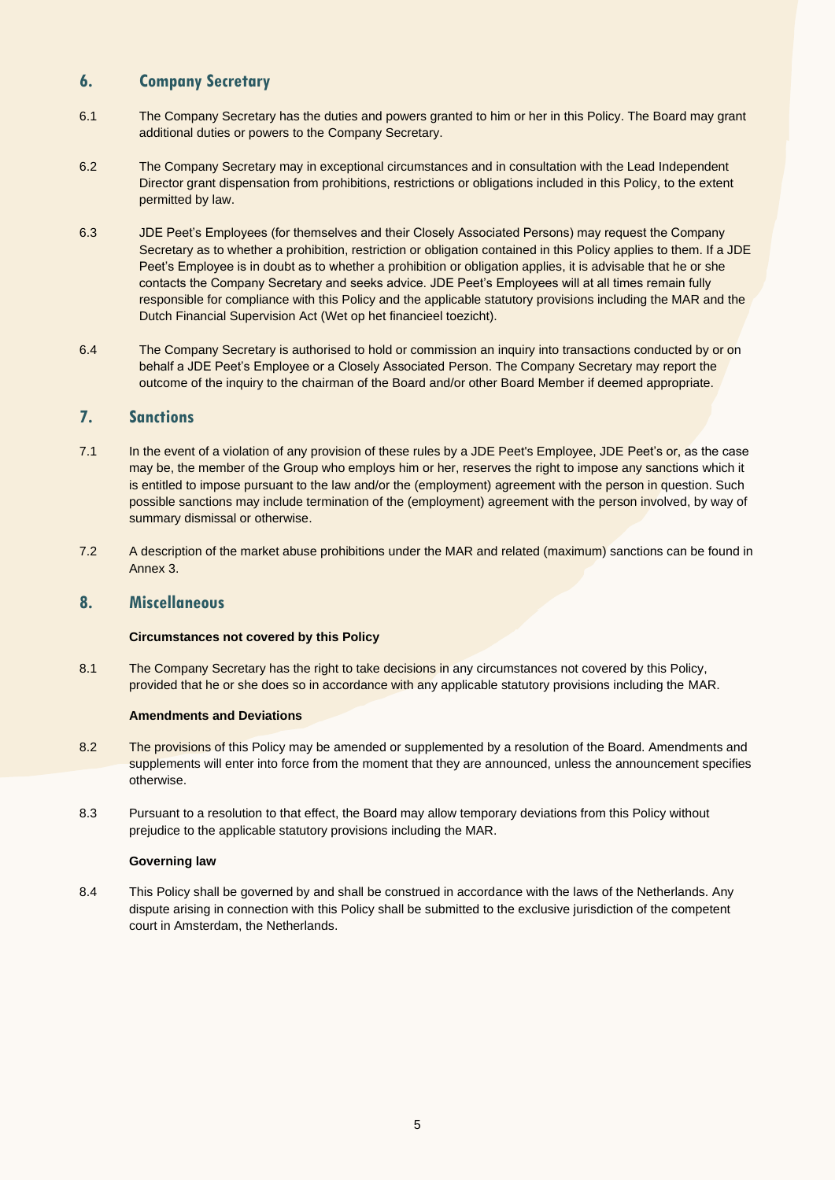# **6. Company Secretary**

- 6.1 The Company Secretary has the duties and powers granted to him or her in this Policy. The Board may grant additional duties or powers to the Company Secretary.
- 6.2 The Company Secretary may in exceptional circumstances and in consultation with the Lead Independent Director grant dispensation from prohibitions, restrictions or obligations included in this Policy, to the extent permitted by law.
- 6.3 JDE Peet's Employees (for themselves and their Closely Associated Persons) may request the Company Secretary as to whether a prohibition, restriction or obligation contained in this Policy applies to them. If a JDE Peet's Employee is in doubt as to whether a prohibition or obligation applies, it is advisable that he or she contacts the Company Secretary and seeks advice. JDE Peet's Employees will at all times remain fully responsible for compliance with this Policy and the applicable statutory provisions including the MAR and the Dutch Financial Supervision Act (Wet op het financieel toezicht).
- 6.4 The Company Secretary is authorised to hold or commission an inquiry into transactions conducted by or on behalf a JDE Peet's Employee or a Closely Associated Person. The Company Secretary may report the outcome of the inquiry to the chairman of the Board and/or other Board Member if deemed appropriate.

# **7. Sanctions**

- 7.1 In the event of a violation of any provision of these rules by a JDE Peet's Employee, JDE Peet's or, as the case may be, the member of the Group who employs him or her, reserves the right to impose any sanctions which it is entitled to impose pursuant to the law and/or the (employment) agreement with the person in question. Such possible sanctions may include termination of the (employment) agreement with the person involved, by way of summary dismissal or otherwise.
- 7.2 A description of the market abuse prohibitions under the MAR and related (maximum) sanctions can be found in Annex 3.

# **8. Miscellaneous**

## **Circumstances not covered by this Policy**

8.1 The Company Secretary has the right to take decisions in any circumstances not covered by this Policy, provided that he or she does so in accordance with any applicable statutory provisions including the MAR.

## **Amendments and Deviations**

- 8.2 The provisions of this Policy may be amended or supplemented by a resolution of the Board. Amendments and supplements will enter into force from the moment that they are announced, unless the announcement specifies otherwise.
- 8.3 Pursuant to a resolution to that effect, the Board may allow temporary deviations from this Policy without prejudice to the applicable statutory provisions including the MAR.

#### **Governing law**

8.4 This Policy shall be governed by and shall be construed in accordance with the laws of the Netherlands. Any dispute arising in connection with this Policy shall be submitted to the exclusive jurisdiction of the competent court in Amsterdam, the Netherlands.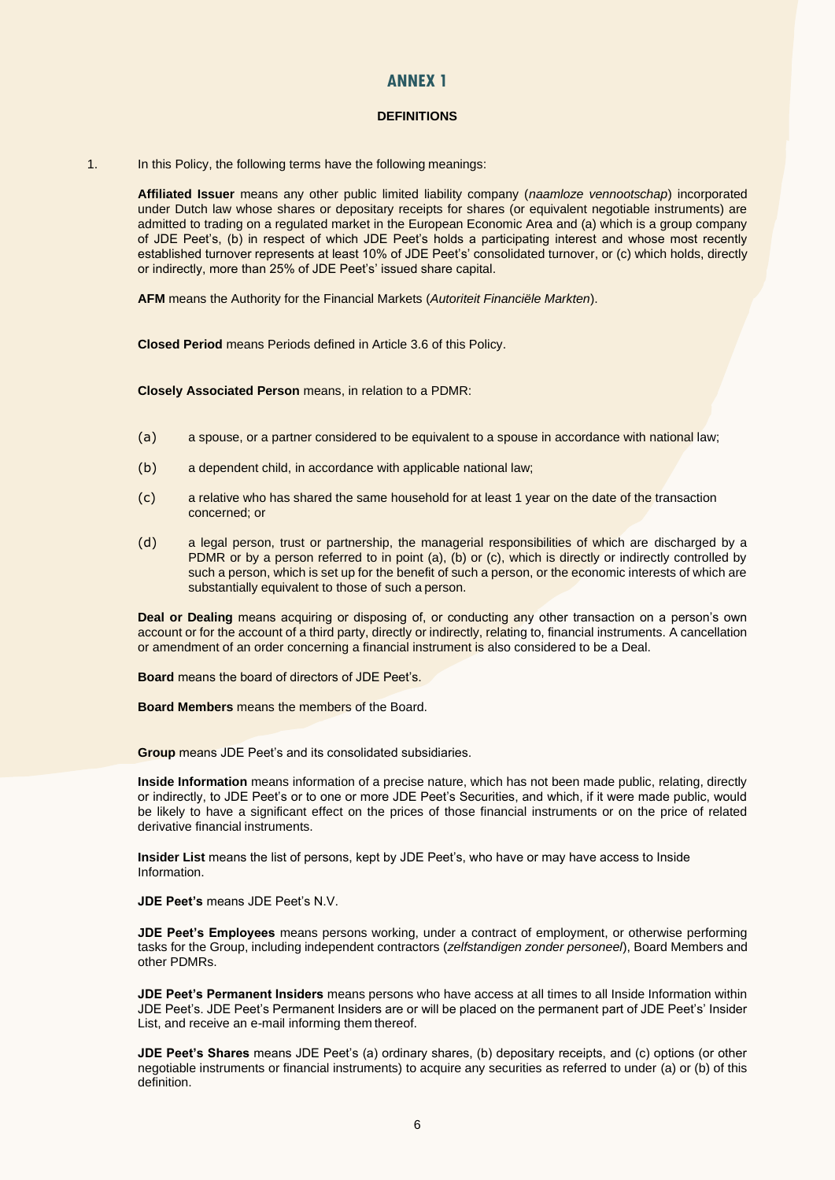## **ANNEX 1**

## **DEFINITIONS**

1. In this Policy, the following terms have the following meanings:

**Affiliated Issuer** means any other public limited liability company (*naamloze vennootschap*) incorporated under Dutch law whose shares or depositary receipts for shares (or equivalent negotiable instruments) are admitted to trading on a regulated market in the European Economic Area and (a) which is a group company of JDE Peet's, (b) in respect of which JDE Peet's holds a participating interest and whose most recently established turnover represents at least 10% of JDE Peet's' consolidated turnover, or (c) which holds, directly or indirectly, more than 25% of JDE Peet's' issued share capital.

**AFM** means the Authority for the Financial Markets (*Autoriteit Financiële Markten*).

**Closed Period** means Periods defined in Article 3.6 of this Policy.

**Closely Associated Person** means, in relation to a PDMR:

- (a) a spouse, or a partner considered to be equivalent to a spouse in accordance with national law;
- (b) a dependent child, in accordance with applicable national law;
- (c) a relative who has shared the same household for at least 1 year on the date of the transaction concerned; or
- (d) a legal person, trust or partnership, the managerial responsibilities of which are discharged by a PDMR or by a person referred to in point (a), (b) or (c), which is directly or indirectly controlled by such a person, which is set up for the benefit of such a person, or the economic interests of which are substantially equivalent to those of such a person.

**Deal or Dealing** means acquiring or disposing of, or conducting any other transaction on a person's own account or for the account of a third party, directly or indirectly, relating to, financial instruments. A cancellation or amendment of an order concerning a financial instrument is also considered to be a Deal.

**Board** means the board of directors of JDE Peet's.

**Board Members** means the members of the Board.

**Group** means JDE Peet's and its consolidated subsidiaries.

**Inside Information** means information of a precise nature, which has not been made public, relating, directly or indirectly, to JDE Peet's or to one or more JDE Peet's Securities, and which, if it were made public, would be likely to have a significant effect on the prices of those financial instruments or on the price of related derivative financial instruments.

**Insider List** means the list of persons, kept by JDE Peet's, who have or may have access to Inside Information.

**JDE Peet's** means JDE Peet's N.V.

**JDE Peet's Employees** means persons working, under a contract of employment, or otherwise performing tasks for the Group, including independent contractors (*zelfstandigen zonder personeel*), Board Members and other PDMRs.

**JDE Peet's Permanent Insiders** means persons who have access at all times to all Inside Information within JDE Peet's. JDE Peet's Permanent Insiders are or will be placed on the permanent part of JDE Peet's' Insider List, and receive an e-mail informing them thereof.

**JDE Peet's Shares** means JDE Peet's (a) ordinary shares, (b) depositary receipts, and (c) options (or other negotiable instruments or financial instruments) to acquire any securities as referred to under (a) or (b) of this definition.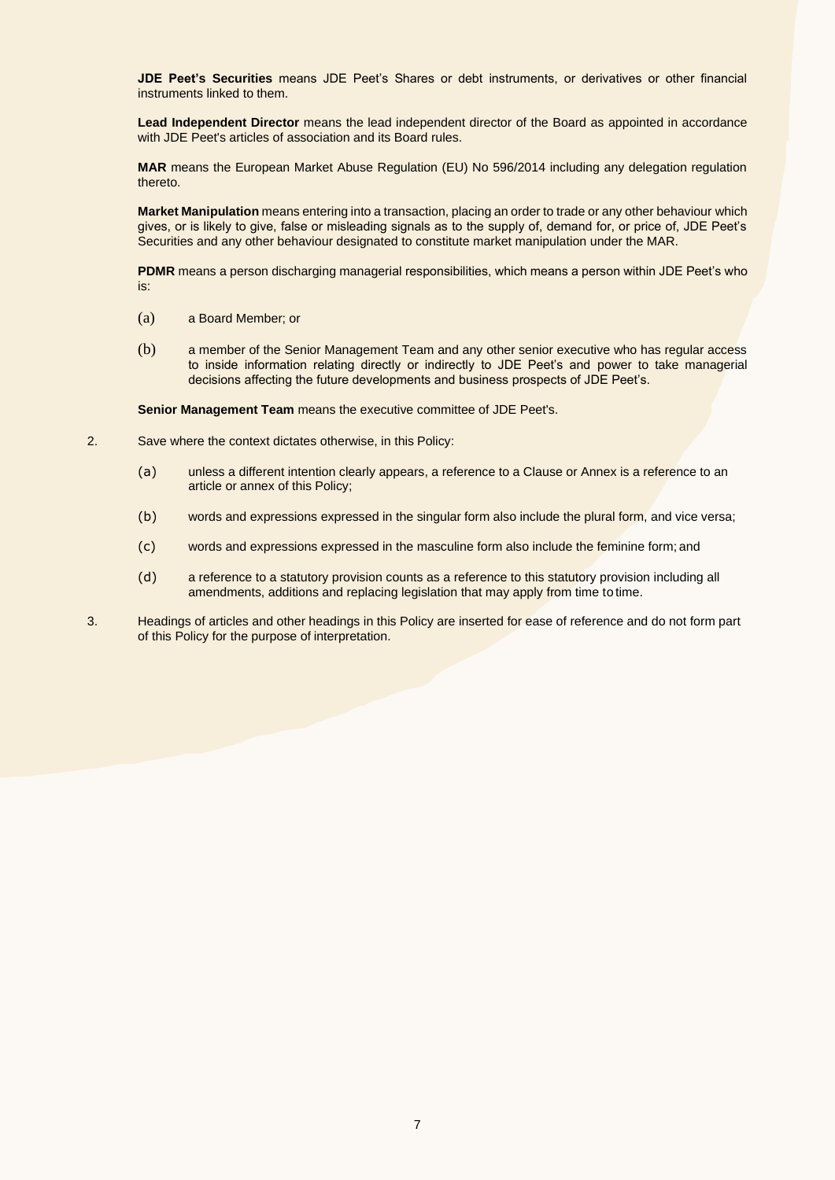**JDE Peet's Securities** means JDE Peet's Shares or debt instruments, or derivatives or other financial instruments linked to them.

**Lead Independent Director** means the lead independent director of the Board as appointed in accordance with JDE Peet's articles of association and its Board rules.

**MAR** means the European Market Abuse Regulation (EU) No 596/2014 including any delegation regulation thereto.

**Market Manipulation** means entering into a transaction, placing an order to trade or any other behaviour which gives, or is likely to give, false or misleading signals as to the supply of, demand for, or price of, JDE Peet's Securities and any other behaviour designated to constitute market manipulation under the MAR.

**PDMR** means a person discharging managerial responsibilities, which means a person within JDE Peet's who is:

- (a) a Board Member; or
- (b) a member of the Senior Management Team and any other senior executive who has regular access to inside information relating directly or indirectly to JDE Peet's and power to take managerial decisions affecting the future developments and business prospects of JDE Peet's.

**Senior Management Team** means the executive committee of JDE Peet's.

- 2. Save where the context dictates otherwise, in this Policy:
	- (a) unless a different intention clearly appears, a reference to a Clause or Annex is a reference to an article or annex of this Policy;
	- (b) words and expressions expressed in the singular form also include the plural form, and vice versa;
	- (c) words and expressions expressed in the masculine form also include the feminine form; and
	- (d) a reference to a statutory provision counts as a reference to this statutory provision including all amendments, additions and replacing legislation that may apply from time to time.
- 3. Headings of articles and other headings in this Policy are inserted for ease of reference and do not form part of this Policy for the purpose of interpretation.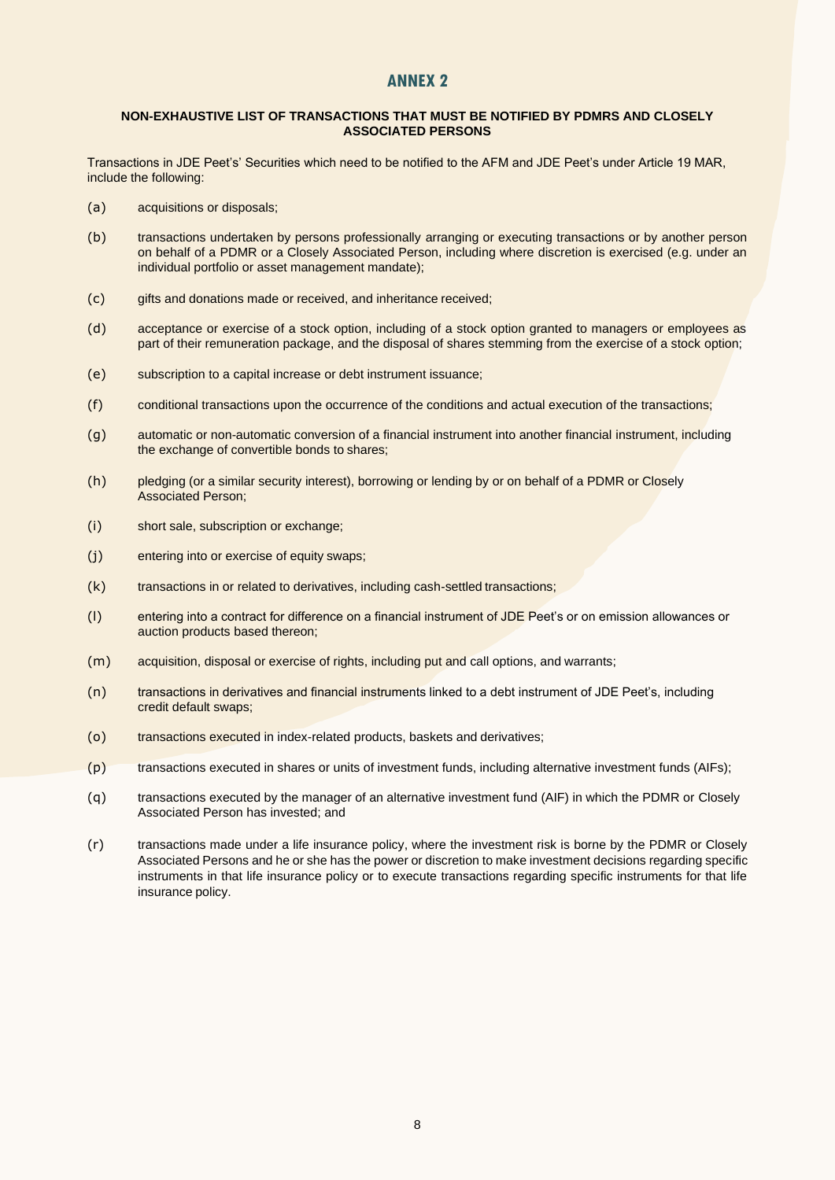## **ANNEX 2**

#### **NON-EXHAUSTIVE LIST OF TRANSACTIONS THAT MUST BE NOTIFIED BY PDMRS AND CLOSELY ASSOCIATED PERSONS**

Transactions in JDE Peet's' Securities which need to be notified to the AFM and JDE Peet's under Article 19 MAR, include the following:

- (a) acquisitions or disposals;
- (b) transactions undertaken by persons professionally arranging or executing transactions or by another person on behalf of a PDMR or a Closely Associated Person, including where discretion is exercised (e.g. under an individual portfolio or asset management mandate);
- (c) gifts and donations made or received, and inheritance received;
- (d) acceptance or exercise of a stock option, including of a stock option granted to managers or employees as part of their remuneration package, and the disposal of shares stemming from the exercise of a stock option;
- (e) subscription to a capital increase or debt instrument issuance;
- (f) conditional transactions upon the occurrence of the conditions and actual execution of the transactions;
- (g) automatic or non-automatic conversion of a financial instrument into another financial instrument, including the exchange of convertible bonds to shares;
- (h) pledging (or a similar security interest), borrowing or lending by or on behalf of a PDMR or Closely Associated Person;
- (i) short sale, subscription or exchange;
- (j) entering into or exercise of equity swaps;
- (k) transactions in or related to derivatives, including cash-settled transactions;
- (l) entering into a contract for difference on a financial instrument of JDE Peet's or on emission allowances or auction products based thereon;
- (m) acquisition, disposal or exercise of rights, including put and call options, and warrants;
- (n) transactions in derivatives and financial instruments linked to a debt instrument of JDE Peet's, including credit default swaps;
- (o) transactions executed in index-related products, baskets and derivatives;
- (p) transactions executed in shares or units of investment funds, including alternative investment funds (AIFs);
- (q) transactions executed by the manager of an alternative investment fund (AIF) in which the PDMR or Closely Associated Person has invested; and
- (r) transactions made under a life insurance policy, where the investment risk is borne by the PDMR or Closely Associated Persons and he or she has the power or discretion to make investment decisions regarding specific instruments in that life insurance policy or to execute transactions regarding specific instruments for that life insurance policy.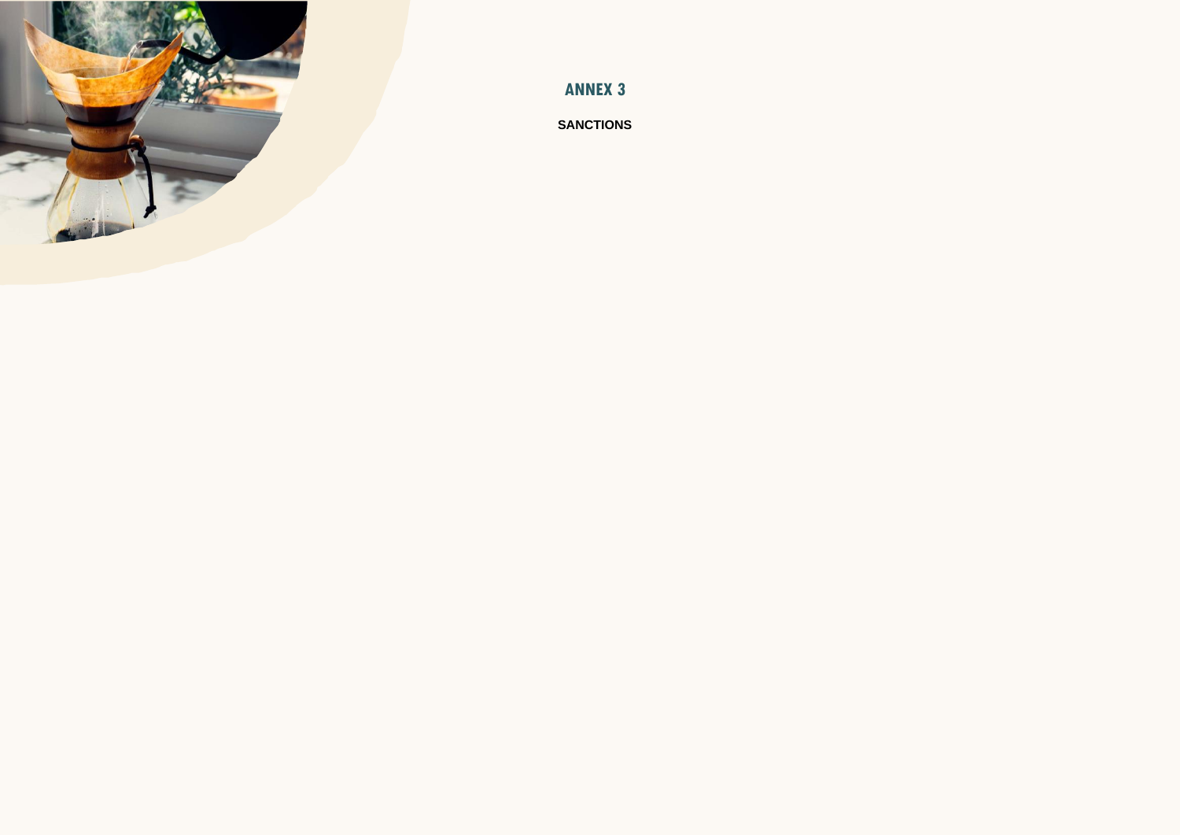

**ANNEX 3**

**SANCTIONS**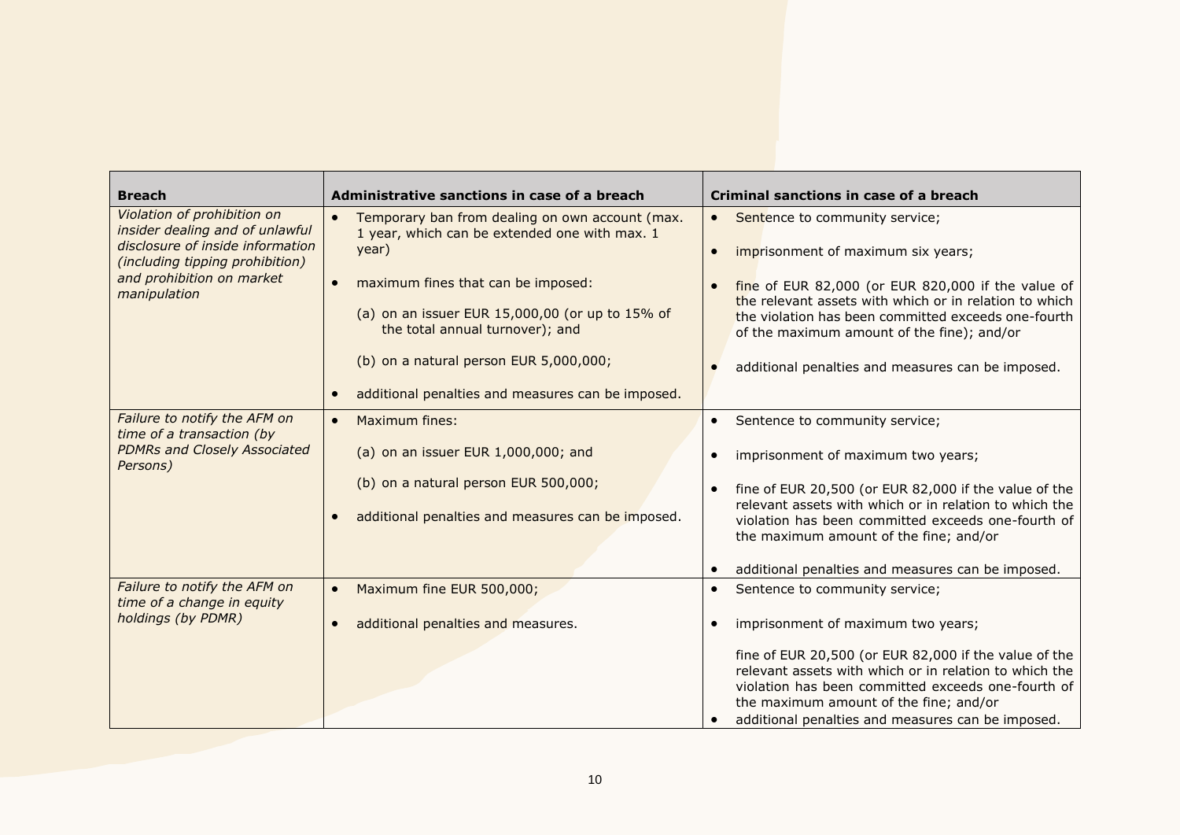| <b>Breach</b>                                                                                                                                                                      | Administrative sanctions in case of a breach                                                                  | Criminal sanctions in case of a breach                                                                                                                                                                                                                               |
|------------------------------------------------------------------------------------------------------------------------------------------------------------------------------------|---------------------------------------------------------------------------------------------------------------|----------------------------------------------------------------------------------------------------------------------------------------------------------------------------------------------------------------------------------------------------------------------|
| Violation of prohibition on<br>insider dealing and of unlawful<br>disclosure of inside information<br>(including tipping prohibition)<br>and prohibition on market<br>manipulation | Temporary ban from dealing on own account (max.<br>$\bullet$<br>1 year, which can be extended one with max. 1 | Sentence to community service;<br>$\bullet$                                                                                                                                                                                                                          |
|                                                                                                                                                                                    | year)                                                                                                         | imprisonment of maximum six years;<br>$\bullet$                                                                                                                                                                                                                      |
|                                                                                                                                                                                    | maximum fines that can be imposed:<br>$\bullet$                                                               | fine of EUR 82,000 (or EUR 820,000 if the value of<br>the relevant assets with which or in relation to which                                                                                                                                                         |
|                                                                                                                                                                                    | (a) on an issuer EUR 15,000,00 (or up to 15% of<br>the total annual turnover); and                            | the violation has been committed exceeds one-fourth<br>of the maximum amount of the fine); and/or                                                                                                                                                                    |
|                                                                                                                                                                                    | (b) on a natural person EUR 5,000,000;                                                                        | additional penalties and measures can be imposed.                                                                                                                                                                                                                    |
|                                                                                                                                                                                    | additional penalties and measures can be imposed.<br>$\bullet$                                                |                                                                                                                                                                                                                                                                      |
| Failure to notify the AFM on<br>time of a transaction (by<br><b>PDMRs and Closely Associated</b><br>Persons)                                                                       | <b>Maximum fines:</b><br>$\bullet$                                                                            | Sentence to community service;<br>$\bullet$                                                                                                                                                                                                                          |
|                                                                                                                                                                                    | (a) on an issuer EUR 1,000,000; and                                                                           | imprisonment of maximum two years;<br>$\bullet$                                                                                                                                                                                                                      |
|                                                                                                                                                                                    | (b) on a natural person EUR 500,000;                                                                          | fine of EUR 20,500 (or EUR 82,000 if the value of the<br>$\bullet$                                                                                                                                                                                                   |
|                                                                                                                                                                                    | additional penalties and measures can be imposed.<br>$\bullet$                                                | relevant assets with which or in relation to which the<br>violation has been committed exceeds one-fourth of<br>the maximum amount of the fine; and/or                                                                                                               |
|                                                                                                                                                                                    |                                                                                                               | additional penalties and measures can be imposed.<br>$\bullet$                                                                                                                                                                                                       |
| Failure to notify the AFM on<br>time of a change in equity<br>holdings (by PDMR)                                                                                                   | Maximum fine EUR 500,000;<br>$\bullet$                                                                        | Sentence to community service;<br>$\bullet$                                                                                                                                                                                                                          |
|                                                                                                                                                                                    | additional penalties and measures.<br>$\bullet$                                                               | imprisonment of maximum two years;<br>$\bullet$                                                                                                                                                                                                                      |
|                                                                                                                                                                                    |                                                                                                               | fine of EUR 20,500 (or EUR 82,000 if the value of the<br>relevant assets with which or in relation to which the<br>violation has been committed exceeds one-fourth of<br>the maximum amount of the fine; and/or<br>additional penalties and measures can be imposed. |